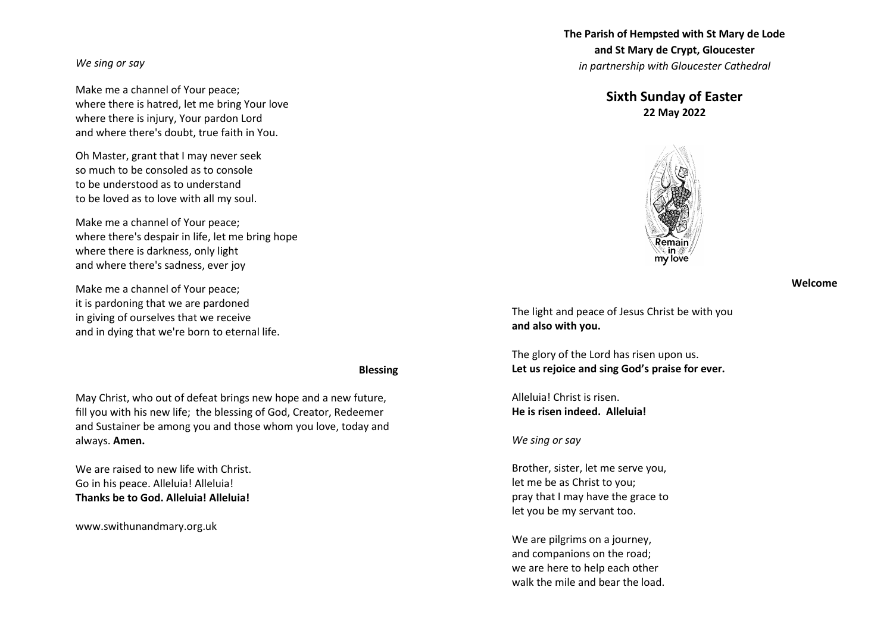### *We sing or say*

Make me a channel of Your peace; where there is hatred, let me bring Your love where there is injury, Your pardon Lord and where there's doubt, true faith in You.

Oh Master, grant that I may never seek so much to be consoled as to console to be understood as to understand to be loved as to love with all my soul.

Make me a channel of Your peace; where there's despair in life, let me bring hope where there is darkness, only light and where there's sadness, ever joy

Make me a channel of Your peace; it is pardoning that we are pardoned in giving of ourselves that we receive and in dying that we're born to eternal life.

#### **Blessing**

May Christ, who out of defeat brings new hope and a new future, fill you with his new life; the blessing of God, Creator, Redeemer and Sustainer be among you and those whom you love, today and always. **Amen.**

We are raised to new life with Christ. Go in his peace. Alleluia! Alleluia! **Thanks be to God. Alleluia! Alleluia!**

www.swithunandmary.org.uk

**The Parish of Hempsted with St Mary de Lode and St Mary de Crypt, Gloucester** *in partnership with Gloucester Cathedral*

# **Sixth Sunday of Easter 22 May 2022**



#### **Welcome**

The light and peace of Jesus Christ be with you **and also with you.**

The glory of the Lord has risen upon us. **Let us rejoice and sing God's praise for ever.** 

Alleluia! Christ is risen. **He is risen indeed. Alleluia!** 

### *We sing or say*

Brother, sister, let me serve you, let me be as Christ to you; pray that I may have the grace to let you be my servant too.

We are pilgrims on a journey, and companions on the road; we are here to help each other walk the mile and bear the load.